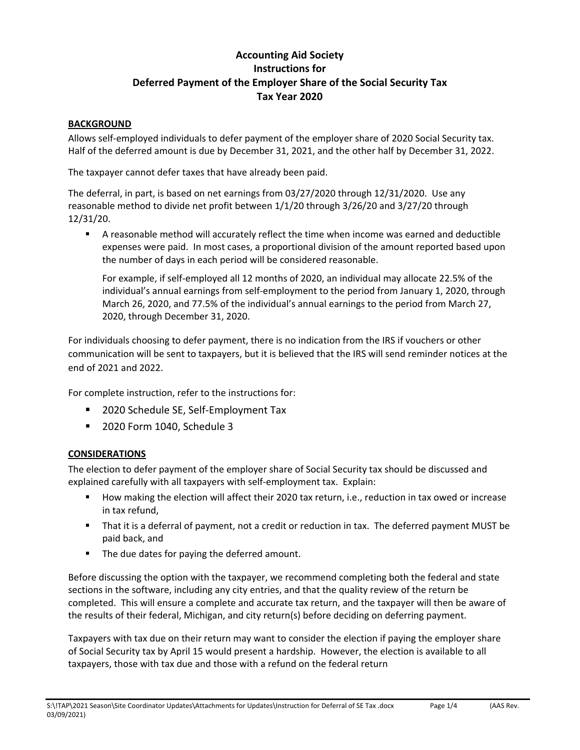# **Accounting Aid Society Instructions for Deferred Payment of the Employer Share of the Social Security Tax Tax Year 2020**

#### **BACKGROUND**

Allows self‐employed individuals to defer payment of the employer share of 2020 Social Security tax. Half of the deferred amount is due by December 31, 2021, and the other half by December 31, 2022.

The taxpayer cannot defer taxes that have already been paid.

The deferral, in part, is based on net earnings from 03/27/2020 through 12/31/2020. Use any reasonable method to divide net profit between 1/1/20 through 3/26/20 and 3/27/20 through 12/31/20.

 A reasonable method will accurately reflect the time when income was earned and deductible expenses were paid. In most cases, a proportional division of the amount reported based upon the number of days in each period will be considered reasonable.

For example, if self-employed all 12 months of 2020, an individual may allocate 22.5% of the individual's annual earnings from self-employment to the period from January 1, 2020, through March 26, 2020, and 77.5% of the individual's annual earnings to the period from March 27, 2020, through December 31, 2020.

For individuals choosing to defer payment, there is no indication from the IRS if vouchers or other communication will be sent to taxpayers, but it is believed that the IRS will send reminder notices at the end of 2021 and 2022.

For complete instruction, refer to the instructions for:

- 2020 Schedule SE, Self-Employment Tax
- **2020 Form 1040, Schedule 3**

#### **CONSIDERATIONS**

The election to defer payment of the employer share of Social Security tax should be discussed and explained carefully with all taxpayers with self-employment tax. Explain:

- How making the election will affect their 2020 tax return, i.e., reduction in tax owed or increase in tax refund,
- That it is a deferral of payment, not a credit or reduction in tax. The deferred payment MUST be paid back, and
- **The due dates for paying the deferred amount.**

Before discussing the option with the taxpayer, we recommend completing both the federal and state sections in the software, including any city entries, and that the quality review of the return be completed. This will ensure a complete and accurate tax return, and the taxpayer will then be aware of the results of their federal, Michigan, and city return(s) before deciding on deferring payment.

Taxpayers with tax due on their return may want to consider the election if paying the employer share of Social Security tax by April 15 would present a hardship. However, the election is available to all taxpayers, those with tax due and those with a refund on the federal return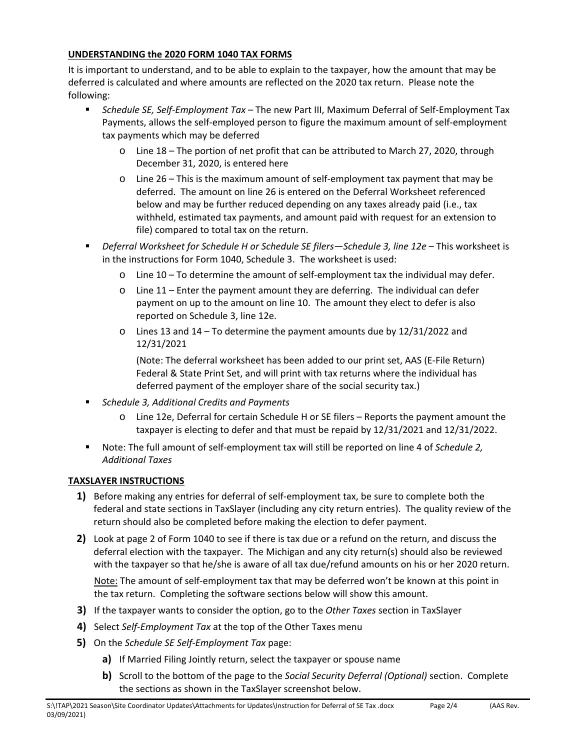### **UNDERSTANDING the 2020 FORM 1040 TAX FORMS**

It is important to understand, and to be able to explain to the taxpayer, how the amount that may be deferred is calculated and where amounts are reflected on the 2020 tax return. Please note the following:

- Schedule SE, Self-Employment Tax The new Part III, Maximum Deferral of Self-Employment Tax Payments, allows the self‐employed person to figure the maximum amount of self‐employment tax payments which may be deferred
	- o Line 18 The portion of net profit that can be attributed to March 27, 2020, through December 31, 2020, is entered here
	- o Line 26 This is the maximum amount of self‐employment tax payment that may be deferred. The amount on line 26 is entered on the Deferral Worksheet referenced below and may be further reduced depending on any taxes already paid (i.e., tax withheld, estimated tax payments, and amount paid with request for an extension to file) compared to total tax on the return.
- **Philter Ferral Worksheet for Schedule H or Schedule SE filers—Schedule 3, line 12e This worksheet is** in the instructions for Form 1040, Schedule 3. The worksheet is used:
	- $\circ$  Line 10 To determine the amount of self-employment tax the individual may defer.
	- o Line 11 Enter the payment amount they are deferring. The individual can defer payment on up to the amount on line 10. The amount they elect to defer is also reported on Schedule 3, line 12e.
	- $\circ$  Lines 13 and 14 To determine the payment amounts due by 12/31/2022 and 12/31/2021

(Note: The deferral worksheet has been added to our print set, AAS (E‐File Return) Federal & State Print Set, and will print with tax returns where the individual has deferred payment of the employer share of the social security tax.)

- *Schedule 3, Additional Credits and Payments*
	- o Line 12e, Deferral for certain Schedule H or SE filers Reports the payment amount the taxpayer is electing to defer and that must be repaid by 12/31/2021 and 12/31/2022.
- Note: The full amount of self-employment tax will still be reported on line 4 of *Schedule 2*, *Additional Taxes*

## **TAXSLAYER INSTRUCTIONS**

- **1)** Before making any entries for deferral of self‐employment tax, be sure to complete both the federal and state sections in TaxSlayer (including any city return entries). The quality review of the return should also be completed before making the election to defer payment.
- **2)** Look at page 2 of Form 1040 to see if there is tax due or a refund on the return, and discuss the deferral election with the taxpayer. The Michigan and any city return(s) should also be reviewed with the taxpayer so that he/she is aware of all tax due/refund amounts on his or her 2020 return.

Note: The amount of self-employment tax that may be deferred won't be known at this point in the tax return. Completing the software sections below will show this amount.

- **3)** If the taxpayer wants to consider the option, go to the *Other Taxes* section in TaxSlayer
- **4)** Select *Self‐Employment Tax* at the top of the Other Taxes menu
- **5)** On the *Schedule SE Self‐Employment Tax* page:
	- **a)** If Married Filing Jointly return, select the taxpayer or spouse name
	- **b)** Scroll to the bottom of the page to the *Social Security Deferral (Optional)* section. Complete the sections as shown in the TaxSlayer screenshot below.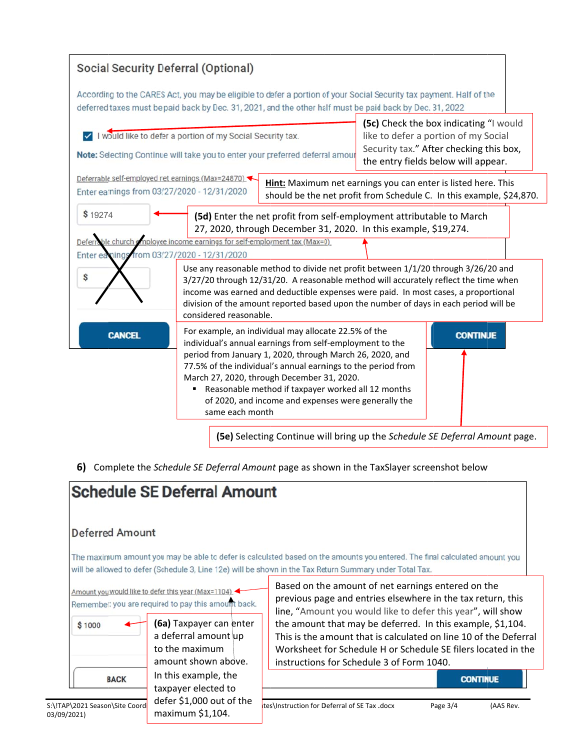

6) Complete the Schedule SE Deferral Amount page as shown in the TaxSlayer screenshot below

|                                                              | <b>Schedule SE Deferral Amount</b>                                                                                                                                                                       |                                                                                                                                                                                                                                                                                                                                                                                                                                  |
|--------------------------------------------------------------|----------------------------------------------------------------------------------------------------------------------------------------------------------------------------------------------------------|----------------------------------------------------------------------------------------------------------------------------------------------------------------------------------------------------------------------------------------------------------------------------------------------------------------------------------------------------------------------------------------------------------------------------------|
| <b>Deferred Amount</b>                                       |                                                                                                                                                                                                          |                                                                                                                                                                                                                                                                                                                                                                                                                                  |
|                                                              |                                                                                                                                                                                                          | The maximum amount you may be able to defer is calculated based on the amounts you entered. The final calculated amount you<br>will be allowed to defer (Schedule 3, Line 12e) will be shown in the Tax Return Summary under Total Tax.                                                                                                                                                                                          |
| \$1000                                                       | Amount you would like to defer this year (Max=1104) -<br>Remember: you are required to pay this amount back.<br>(6a) Taxpayer can enter<br>a deferral amount up<br>to the maximum<br>amount shown above. | Based on the amount of net earnings entered on the<br>previous page and entries elsewhere in the tax return, this<br>line, "Amount you would like to defer this year", will show<br>the amount that may be deferred. In this example, \$1,104.<br>This is the amount that is calculated on line 10 of the Deferral<br>Worksheet for Schedule H or Schedule SE filers located in the<br>instructions for Schedule 3 of Form 1040. |
| <b>BACK</b><br>S:\!TAP\2021 Season\Site Coord<br>03/09/2021) | In this example, the<br>taxpayer elected to<br>defer \$1,000 out of the<br>maximum \$1,104.                                                                                                              | <b>CONTINUE</b><br>tes\Instruction for Deferral of SE Tax .docx<br>Page $3/4$<br>(AAS Rev.                                                                                                                                                                                                                                                                                                                                       |